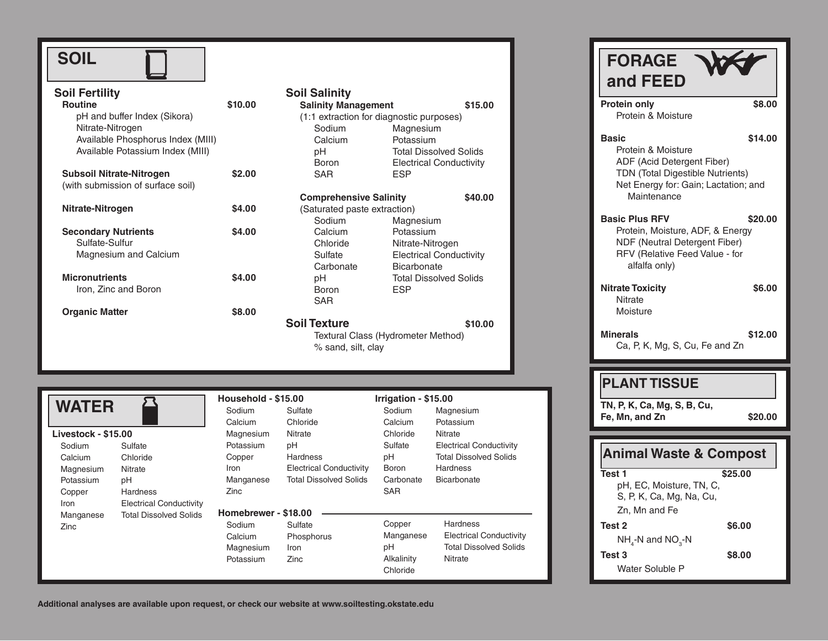| <b>Soil Fertility</b>             |              |
|-----------------------------------|--------------|
| <b>Routine</b>                    | \$10.00      |
| pH and buffer Index (Sikora)      |              |
| Nitrate-Nitrogen                  |              |
| Available Phosphorus Index (MIII) |              |
| Available Potassium Index (MIII)  |              |
| Subsoil Nitrate-Nitrogen          | \$2.00       |
| (with submission of surface soil) |              |
| Nitrate-Nitrogen                  | \$4.00       |
|                                   |              |
| <b>Secondary Nutrients</b>        | <b>S4.00</b> |
| Sulfate-Sulfur                    |              |
| <b>Magnesium and Calcium</b>      |              |
| <b>Micronutrients</b>             | <b>S4.00</b> |

 $\Box$ 

**Organic Matter \$8.00** 

Iron, Zinc and Boron

| <b>Soil Salinity</b><br><b>Salinity Management</b><br>(1:1 extraction for diagnostic purposes) | \$15.00                        |  |  |  |
|------------------------------------------------------------------------------------------------|--------------------------------|--|--|--|
| Sodium                                                                                         | Magnesium                      |  |  |  |
| Calcium                                                                                        | Potassium                      |  |  |  |
| рH                                                                                             | <b>Total Dissolved Solids</b>  |  |  |  |
| <b>Boron</b>                                                                                   | <b>Electrical Conductivity</b> |  |  |  |
| SAR                                                                                            | ESP                            |  |  |  |
| <b>Comprehensive Salinity</b><br>(Saturated paste extraction)                                  | \$40.00                        |  |  |  |
| Sodium                                                                                         | Magnesium                      |  |  |  |
| Calcium                                                                                        | Potassium                      |  |  |  |
| Chloride                                                                                       | Nitrate-Nitrogen               |  |  |  |
| Sulfate                                                                                        | <b>Electrical Conductivity</b> |  |  |  |
| Carbonate                                                                                      | <b>Bicarbonate</b>             |  |  |  |
| pН                                                                                             | <b>Total Dissolved Solids</b>  |  |  |  |
| Boron                                                                                          | <b>ESP</b>                     |  |  |  |
| SAR                                                                                            |                                |  |  |  |
| <b>Soil Texture</b>                                                                            | \$10.00                        |  |  |  |
| Textural Class (Hydrometer Method)                                                             |                                |  |  |  |

% sand, silt, clay

|                     |                                | Household - \$15.00  |                                | Irrigation - \$15.00 |                                |
|---------------------|--------------------------------|----------------------|--------------------------------|----------------------|--------------------------------|
| <b>WATER</b>        |                                | Sodium               | Sulfate                        | Sodium               | Magnesium                      |
|                     |                                | Calcium              | Chloride                       | Calcium              | Potassium                      |
| Livestock - \$15.00 |                                | Magnesium            | Nitrate                        | Chloride             | Nitrate                        |
| Sodium              | Sulfate                        | Potassium            | pH                             | Sulfate              | <b>Electrical Conductivity</b> |
| Calcium             | Chloride                       | Copper               | <b>Hardness</b>                | pH                   | <b>Total Dissolved Solids</b>  |
| Magnesium           | Nitrate                        | Iron                 | <b>Electrical Conductivity</b> | <b>Boron</b>         | <b>Hardness</b>                |
| Potassium           | pH                             | Manganese            | <b>Total Dissolved Solids</b>  | Carbonate            | Bicarbonate                    |
| Copper              | <b>Hardness</b>                | <b>Zinc</b>          |                                | <b>SAR</b>           |                                |
| Iron                | <b>Electrical Conductivity</b> |                      |                                |                      |                                |
| Manganese           | <b>Total Dissolved Solids</b>  | Homebrewer - \$18.00 |                                |                      |                                |
| Zinc                |                                | Sodium               | Sulfate                        | Copper               | <b>Hardness</b>                |
|                     |                                | Calcium              | Phosphorus                     | Manganese            | <b>Electrical Conductivity</b> |
|                     |                                | Magnesium            | Iron                           | pH                   | <b>Total Dissolved Solids</b>  |
|                     |                                | Potassium            | Zinc                           | Alkalinity           | Nitrate                        |
|                     |                                |                      |                                | Chloride             |                                |

Protein only \$8.00 Protein & Moisture **Basic \$14.00** Protein & Moisture ADF (Acid Detergent Fiber) TDN (Total Digestible Nutrients) Net Energy for: Gain; Lactation; and Maintenance **Basic Plus RFV \$20.00** Protein, Moisture, ADF, & Energy NDF (Neutral Detergent Fiber) RFV (Relative Feed Value - for alfalfa only) **Nitrate Toxicity 56.00 Nitrate** Moisture **Minerals \$12.00** Ca, P, K, Mg, S, Cu, Fe and Zn **TN, P, K, Ca, Mg, S, B, Cu, Fe, Mn, and Zn \$20.00 Test 1 \$25.00** pH, EC, Moisture, TN, C, S, P, K, Ca, Mg, Na, Cu, **Animal Waste & Compost FORAGE and FEED PLANT TISSUE**

Zn, Mn and Fe **Test 2 \$6.00**  $NH_{4}$ -N and NO<sub>3</sub>-N **Test 3 \$8.00** Water Soluble P